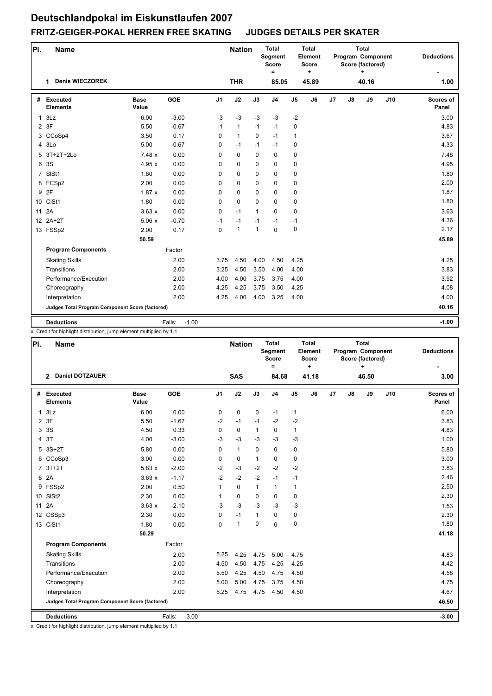| PI.            | <b>Name</b>                                     |                      |                   |                | <b>Nation</b> |              | <b>Total</b><br>Segment<br><b>Score</b><br>$\equiv$ |                | <b>Total</b><br>Element<br><b>Score</b><br>÷ |                |    | <b>Total</b><br>Program Component<br>Score (factored)<br>٠ |     | <b>Deductions</b>  |
|----------------|-------------------------------------------------|----------------------|-------------------|----------------|---------------|--------------|-----------------------------------------------------|----------------|----------------------------------------------|----------------|----|------------------------------------------------------------|-----|--------------------|
|                | <b>Denis WIECZOREK</b><br>1                     |                      |                   |                | <b>THR</b>    |              | 85.05                                               |                | 45.89                                        |                |    | 40.16                                                      |     | 1.00               |
| #              | Executed<br><b>Elements</b>                     | <b>Base</b><br>Value | <b>GOE</b>        | J <sub>1</sub> | J2            | J3           | J <sub>4</sub>                                      | J <sub>5</sub> | J6                                           | J <sub>7</sub> | J8 | J9                                                         | J10 | Scores of<br>Panel |
| $\mathbf{1}$   | 3Lz                                             | 6.00                 | $-3.00$           | $-3$           | $-3$          | $-3$         | $-3$                                                | $-2$           |                                              |                |    |                                                            |     | 3.00               |
|                | 2 3F                                            | 5.50                 | $-0.67$           | $-1$           | $\mathbf{1}$  | $-1$         | $-1$                                                | 0              |                                              |                |    |                                                            |     | 4.83               |
|                | 3 CCoSp4                                        | 3.50                 | 0.17              | $\Omega$       | $\mathbf{1}$  | $\Omega$     | $-1$                                                | $\mathbf{1}$   |                                              |                |    |                                                            |     | 3.67               |
|                | 4 3Lo                                           | 5.00                 | $-0.67$           | 0              | $-1$          | $-1$         | $-1$                                                | 0              |                                              |                |    |                                                            |     | 4.33               |
| 5              | 3T+2T+2Lo                                       | 7.48x                | 0.00              | $\Omega$       | 0             | $\Omega$     | $\mathbf 0$                                         | 0              |                                              |                |    |                                                            |     | 7.48               |
| 6              | 3S                                              | 4.95x                | 0.00              | 0              | 0             | $\mathbf 0$  | 0                                                   | 0              |                                              |                |    |                                                            |     | 4.95               |
| $\overline{7}$ | SISt1                                           | 1.80                 | 0.00              | 0              | $\mathbf 0$   | $\mathbf 0$  | $\mathbf 0$                                         | $\pmb{0}$      |                                              |                |    |                                                            |     | 1.80               |
|                | 8 FCSp2                                         | 2.00                 | 0.00              | 0              | 0             | $\mathbf 0$  | $\mathbf 0$                                         | 0              |                                              |                |    |                                                            |     | 2.00               |
|                | 9 2F                                            | 1.87x                | 0.00              | 0              | 0             | $\Omega$     | 0                                                   | 0              |                                              |                |    |                                                            |     | 1.87               |
|                | 10 CiSt1                                        | 1.80                 | 0.00              | $\Omega$       | $\mathbf 0$   | $\mathbf 0$  | $\mathbf 0$                                         | $\pmb{0}$      |                                              |                |    |                                                            |     | 1.80               |
|                | 11 2A                                           | 3.63x                | 0.00              | $\mathbf 0$    | $-1$          | $\mathbf{1}$ | $\mathbf 0$                                         | $\mathbf 0$    |                                              |                |    |                                                            |     | 3.63               |
|                | 12 2A+2T                                        | 5.06x                | $-0.70$           | $-1$           | $-1$          | $-1$         | $-1$                                                | $-1$           |                                              |                |    |                                                            |     | 4.36               |
|                | 13 FSSp2                                        | 2.00                 | 0.17              | $\Omega$       | $\mathbf{1}$  | $\mathbf{1}$ | $\mathbf{0}$                                        | $\pmb{0}$      |                                              |                |    |                                                            |     | 2.17               |
|                |                                                 | 50.59                |                   |                |               |              |                                                     |                |                                              |                |    |                                                            |     | 45.89              |
|                | <b>Program Components</b>                       |                      | Factor            |                |               |              |                                                     |                |                                              |                |    |                                                            |     |                    |
|                | <b>Skating Skills</b>                           |                      | 2.00              | 3.75           | 4.50          | 4.00         | 4.50                                                | 4.25           |                                              |                |    |                                                            |     | 4.25               |
|                | <b>Transitions</b>                              |                      | 2.00              | 3.25           | 4.50          | 3.50         | 4.00                                                | 4.00           |                                              |                |    |                                                            |     | 3.83               |
|                | Performance/Execution                           |                      | 2.00              | 4.00           | 4.00          | 3.75         | 3.75                                                | 4.00           |                                              |                |    |                                                            |     | 3.92               |
|                | Choreography                                    |                      | 2.00              | 4.25           | 4.25          | 3.75         | 3.50                                                | 4.25           |                                              |                |    |                                                            |     | 4.08               |
|                | Interpretation                                  |                      | 2.00              | 4.25           | 4.00          | 4.00         | 3.25                                                | 4.00           |                                              |                |    |                                                            |     | 4.00               |
|                | Judges Total Program Component Score (factored) |                      |                   |                |               |              |                                                     |                |                                              |                |    |                                                            |     | 40.16              |
|                | <b>Deductions</b>                               |                      | Falls:<br>$-1.00$ |                |               |              |                                                     |                |                                              |                |    |                                                            |     | $-1.00$            |

x Credit for highlight distribution, jump element multiplied by 1.1

| PI.            | <b>Name</b>                                     |                      |                   |                | <b>Nation</b> |              | <b>Total</b><br>Segment<br><b>Score</b><br>$=$ |                | <b>Total</b><br>Element<br>Score<br>÷ |    |               | Total<br>Program Component<br>Score (factored)<br>٠ |     | <b>Deductions</b>         |
|----------------|-------------------------------------------------|----------------------|-------------------|----------------|---------------|--------------|------------------------------------------------|----------------|---------------------------------------|----|---------------|-----------------------------------------------------|-----|---------------------------|
|                | 2 Daniel DOTZAUER                               |                      |                   |                | <b>SAS</b>    |              | 84.68                                          |                | 41.18                                 |    |               | 46.50                                               |     | 3.00                      |
|                | # Executed<br><b>Elements</b>                   | <b>Base</b><br>Value | GOE               | J <sub>1</sub> | J2            | J3           | J <sub>4</sub>                                 | J <sub>5</sub> | J6                                    | J7 | $\mathsf{J}8$ | J9                                                  | J10 | <b>Scores of</b><br>Panel |
| $\mathbf{1}$   | 3Lz                                             | 6.00                 | 0.00              | 0              | $\pmb{0}$     | 0            | $-1$                                           | $\mathbf{1}$   |                                       |    |               |                                                     |     | 6.00                      |
| $\overline{2}$ | 3F                                              | 5.50                 | $-1.67$           | $-2$           | $-1$          | $-1$         | $-2$                                           | $-2$           |                                       |    |               |                                                     |     | 3.83                      |
| 3              | 3S                                              | 4.50                 | 0.33              | 0              | 0             | $\mathbf{1}$ | 0                                              | $\mathbf{1}$   |                                       |    |               |                                                     |     | 4.83                      |
| $\overline{4}$ | 3T                                              | 4.00                 | $-3.00$           | $-3$           | $-3$          | $-3$         | $-3$                                           | $-3$           |                                       |    |               |                                                     |     | 1.00                      |
| 5              | $3S+2T$                                         | 5.80                 | 0.00              | 0              | $\mathbf{1}$  | $\mathbf 0$  | 0                                              | 0              |                                       |    |               |                                                     |     | 5.80                      |
|                | 6 CCoSp3                                        | 3.00                 | 0.00              | 0              | 0             | $\mathbf{1}$ | 0                                              | 0              |                                       |    |               |                                                     |     | 3.00                      |
|                | 7 3T+2T                                         | 5.83x                | $-2.00$           | $-2$           | $-3$          | $-2$         | $-2$                                           | $-2$           |                                       |    |               |                                                     |     | 3.83                      |
|                | 8 2A                                            | 3.63x                | $-1.17$           | $-2$           | $-2$          | $-2$         | $-1$                                           | $-1$           |                                       |    |               |                                                     |     | 2.46                      |
|                | 9 FSSp2                                         | 2.00                 | 0.50              | $\mathbf{1}$   | $\pmb{0}$     | $\mathbf{1}$ | $\mathbf{1}$                                   | 1              |                                       |    |               |                                                     |     | 2.50                      |
|                | 10 SISt2                                        | 2.30                 | 0.00              | $\mathbf{1}$   | $\mathbf 0$   | $\mathbf 0$  | 0                                              | 0              |                                       |    |               |                                                     |     | 2.30                      |
|                | 11 2A                                           | 3.63x                | $-2.10$           | $-3$           | $-3$          | $-3$         | $-3$                                           | $-3$           |                                       |    |               |                                                     |     | 1.53                      |
|                | 12 CSSp3                                        | 2.30                 | 0.00              | 0              | $-1$          | $\mathbf{1}$ | $\Omega$                                       | 0              |                                       |    |               |                                                     |     | 2.30                      |
|                | 13 CiSt1                                        | 1.80                 | 0.00              | $\Omega$       | $\mathbf{1}$  | 0            | $\Omega$                                       | 0              |                                       |    |               |                                                     |     | 1.80                      |
|                |                                                 | 50.29                |                   |                |               |              |                                                |                |                                       |    |               |                                                     |     | 41.18                     |
|                | <b>Program Components</b>                       |                      | Factor            |                |               |              |                                                |                |                                       |    |               |                                                     |     |                           |
|                | <b>Skating Skills</b>                           |                      | 2.00              | 5.25           | 4.25          | 4.75         | 5.00                                           | 4.75           |                                       |    |               |                                                     |     | 4.83                      |
|                | Transitions                                     |                      | 2.00              | 4.50           | 4.50          | 4.75         | 4.25                                           | 4.25           |                                       |    |               |                                                     |     | 4.42                      |
|                | Performance/Execution                           |                      | 2.00              | 5.50           | 4.25          | 4.50         | 4.75                                           | 4.50           |                                       |    |               |                                                     |     | 4.58                      |
|                | Choreography                                    |                      | 2.00              | 5.00           | 5.00          | 4.75         | 3.75                                           | 4.50           |                                       |    |               |                                                     |     | 4.75                      |
|                | Interpretation                                  |                      | 2.00              | 5.25           | 4.75          | 4.75         | 4.50                                           | 4.50           |                                       |    |               |                                                     |     | 4.67                      |
|                | Judges Total Program Component Score (factored) |                      |                   |                |               |              |                                                |                |                                       |    |               |                                                     |     | 46.50                     |
|                |                                                 |                      |                   |                |               |              |                                                |                |                                       |    |               |                                                     |     |                           |
|                | <b>Deductions</b>                               |                      | $-3.00$<br>Falls: |                |               |              |                                                |                |                                       |    |               |                                                     |     | $-3.00$                   |

x Credit for highlight distribution, jump element multiplied by 1.1

<sup>1</sup>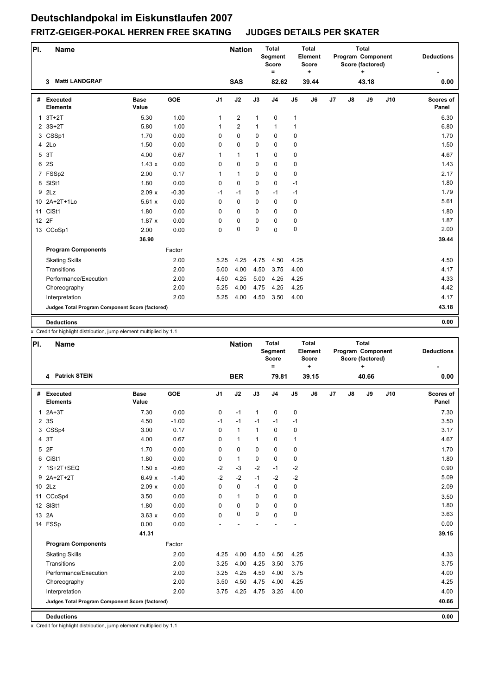| PI.          | <b>Name</b>                                     |                      |            |                | <b>Nation</b>  |              | Total<br>Segment<br><b>Score</b><br>$=$ |                | <b>Total</b><br>Element<br><b>Score</b><br>$\ddot{}$ |                |    | <b>Total</b><br>Program Component<br>Score (factored)<br>÷ |     | <b>Deductions</b>  |
|--------------|-------------------------------------------------|----------------------|------------|----------------|----------------|--------------|-----------------------------------------|----------------|------------------------------------------------------|----------------|----|------------------------------------------------------------|-----|--------------------|
|              | <b>Matti LANDGRAF</b><br>3                      |                      |            |                | <b>SAS</b>     |              | 82.62                                   |                | 39.44                                                |                |    | 43.18                                                      |     | 0.00               |
| #            | Executed<br><b>Elements</b>                     | <b>Base</b><br>Value | <b>GOE</b> | J <sub>1</sub> | J2             | J3           | J <sub>4</sub>                          | J <sub>5</sub> | J6                                                   | J <sub>7</sub> | J8 | J9                                                         | J10 | Scores of<br>Panel |
| $\mathbf{1}$ | $3T+2T$                                         | 5.30                 | 1.00       | 1              | $\overline{2}$ | $\mathbf{1}$ | $\pmb{0}$                               | 1              |                                                      |                |    |                                                            |     | 6.30               |
|              | $2.3S+2T$                                       | 5.80                 | 1.00       | 1              | $\overline{2}$ | $\mathbf{1}$ | $\mathbf{1}$                            | $\mathbf{1}$   |                                                      |                |    |                                                            |     | 6.80               |
|              | 3 CSSp1                                         | 1.70                 | 0.00       | 0              | $\mathbf 0$    | $\mathbf 0$  | $\mathbf 0$                             | $\mathbf 0$    |                                                      |                |    |                                                            |     | 1.70               |
|              | 4 2Lo                                           | 1.50                 | 0.00       | 0              | $\mathbf 0$    | $\Omega$     | $\Omega$                                | 0              |                                                      |                |    |                                                            |     | 1.50               |
| 5            | 3T                                              | 4.00                 | 0.67       | $\mathbf{1}$   | $\mathbf{1}$   | $\mathbf{1}$ | $\mathbf 0$                             | 0              |                                                      |                |    |                                                            |     | 4.67               |
| 6            | 2S                                              | 1.43x                | 0.00       | $\mathbf 0$    | $\mathbf 0$    | $\Omega$     | $\mathbf 0$                             | $\pmb{0}$      |                                                      |                |    |                                                            |     | 1.43               |
|              | 7 FSSp2                                         | 2.00                 | 0.17       | 1              | $\mathbf{1}$   | $\mathbf 0$  | $\mathbf 0$                             | 0              |                                                      |                |    |                                                            |     | 2.17               |
|              | 8 SISt1                                         | 1.80                 | 0.00       | 0              | $\mathbf 0$    | $\Omega$     | $\Omega$                                | $-1$           |                                                      |                |    |                                                            |     | 1.80               |
| 9            | 2Lz                                             | 2.09x                | $-0.30$    | $-1$           | $-1$           | $\mathbf 0$  | $-1$                                    | $-1$           |                                                      |                |    |                                                            |     | 1.79               |
|              | 10 2A+2T+1Lo                                    | 5.61x                | 0.00       | 0              | $\mathbf 0$    | $\mathbf 0$  | $\mathbf 0$                             | 0              |                                                      |                |    |                                                            |     | 5.61               |
|              | 11 CiSt1                                        | 1.80                 | 0.00       | 0              | $\Omega$       | $\Omega$     | $\Omega$                                | 0              |                                                      |                |    |                                                            |     | 1.80               |
| 12 2F        |                                                 | 1.87x                | 0.00       | 0              | 0              | 0            | $\mathbf 0$                             | 0              |                                                      |                |    |                                                            |     | 1.87               |
|              | 13 CCoSp1                                       | 2.00                 | 0.00       | 0              | $\pmb{0}$      | $\mathbf 0$  | $\Omega$                                | 0              |                                                      |                |    |                                                            |     | 2.00               |
|              |                                                 | 36.90                |            |                |                |              |                                         |                |                                                      |                |    |                                                            |     | 39.44              |
|              | <b>Program Components</b>                       |                      | Factor     |                |                |              |                                         |                |                                                      |                |    |                                                            |     |                    |
|              | <b>Skating Skills</b>                           |                      | 2.00       | 5.25           | 4.25           | 4.75         | 4.50                                    | 4.25           |                                                      |                |    |                                                            |     | 4.50               |
|              | Transitions                                     |                      | 2.00       | 5.00           | 4.00           | 4.50         | 3.75                                    | 4.00           |                                                      |                |    |                                                            |     | 4.17               |
|              | Performance/Execution                           |                      | 2.00       | 4.50           | 4.25           | 5.00         | 4.25                                    | 4.25           |                                                      |                |    |                                                            |     | 4.33               |
|              | Choreography                                    |                      | 2.00       | 5.25           | 4.00           | 4.75         | 4.25                                    | 4.25           |                                                      |                |    |                                                            |     | 4.42               |
|              | Interpretation                                  |                      | 2.00       | 5.25           | 4.00           | 4.50         | 3.50                                    | 4.00           |                                                      |                |    |                                                            |     | 4.17               |
|              | Judges Total Program Component Score (factored) |                      |            |                |                |              |                                         |                |                                                      |                |    |                                                            |     | 43.18              |
|              | <b>Deductions</b>                               |                      |            |                |                |              |                                         |                |                                                      |                |    |                                                            |     | 0.00               |

x Credit for highlight distribution, jump element multiplied by 1.1

| PI.          | <b>Name</b>                                     |                      |            |                | <b>Nation</b> |              | <b>Total</b><br>Segment<br><b>Score</b><br>$=$ |                | <b>Total</b><br>Element<br><b>Score</b><br>÷. |    |    | <b>Total</b><br>Program Component<br>Score (factored)<br>$\ddotmark$ |     | <b>Deductions</b>         |
|--------------|-------------------------------------------------|----------------------|------------|----------------|---------------|--------------|------------------------------------------------|----------------|-----------------------------------------------|----|----|----------------------------------------------------------------------|-----|---------------------------|
|              | <b>Patrick STEIN</b><br>4                       |                      |            |                | <b>BER</b>    |              | 79.81                                          |                | 39.15                                         |    |    | 40.66                                                                |     | 0.00                      |
|              | # Executed<br><b>Elements</b>                   | <b>Base</b><br>Value | <b>GOE</b> | J <sub>1</sub> | J2            | J3           | J <sub>4</sub>                                 | J <sub>5</sub> | J6                                            | J7 | J8 | J9                                                                   | J10 | <b>Scores of</b><br>Panel |
| $\mathbf{1}$ | $2A+3T$                                         | 7.30                 | 0.00       | 0              | $-1$          | $\mathbf{1}$ | 0                                              | 0              |                                               |    |    |                                                                      |     | 7.30                      |
|              | 2 3 S                                           | 4.50                 | $-1.00$    | $-1$           | $-1$          | $-1$         | $-1$                                           | $-1$           |                                               |    |    |                                                                      |     | 3.50                      |
|              | 3 CSSp4                                         | 3.00                 | 0.17       | $\mathbf 0$    | $\mathbf{1}$  | 1            | $\mathbf 0$                                    | $\mathbf 0$    |                                               |    |    |                                                                      |     | 3.17                      |
| 4            | 3T                                              | 4.00                 | 0.67       | $\Omega$       | $\mathbf{1}$  | $\mathbf{1}$ | $\mathbf 0$                                    | $\mathbf{1}$   |                                               |    |    |                                                                      |     | 4.67                      |
| 5            | 2F                                              | 1.70                 | 0.00       | $\Omega$       | 0             | $\Omega$     | $\mathbf 0$                                    | $\pmb{0}$      |                                               |    |    |                                                                      |     | 1.70                      |
|              | 6 CiSt1                                         | 1.80                 | 0.00       | $\Omega$       | $\mathbf{1}$  | $\mathbf 0$  | $\mathbf 0$                                    | $\pmb{0}$      |                                               |    |    |                                                                      |     | 1.80                      |
|              | 7 1S+2T+SEQ                                     | 1.50x                | $-0.60$    | $-2$           | $-3$          | $-2$         | $-1$                                           | $-2$           |                                               |    |    |                                                                      |     | 0.90                      |
| 9            | 2A+2T+2T                                        | 6.49x                | $-1.40$    | $-2$           | $-2$          | $-1$         | $-2$                                           | $-2$           |                                               |    |    |                                                                      |     | 5.09                      |
|              | 10 2Lz                                          | 2.09x                | 0.00       | 0              | $\mathbf 0$   | $-1$         | $\mathbf 0$                                    | 0              |                                               |    |    |                                                                      |     | 2.09                      |
|              | 11 CCoSp4                                       | 3.50                 | 0.00       | 0              | $\mathbf{1}$  | $\mathbf 0$  | 0                                              | 0              |                                               |    |    |                                                                      |     | 3.50                      |
|              | 12 SISt1                                        | 1.80                 | 0.00       | 0              | 0             | $\mathbf 0$  | $\mathbf 0$                                    | 0              |                                               |    |    |                                                                      |     | 1.80                      |
| 13 2A        |                                                 | 3.63x                | 0.00       | 0              | $\pmb{0}$     | $\mathbf 0$  | $\mathbf 0$                                    | $\pmb{0}$      |                                               |    |    |                                                                      |     | 3.63                      |
|              | 14 FSSp                                         | 0.00                 | 0.00       |                |               |              |                                                |                |                                               |    |    |                                                                      |     | 0.00                      |
|              |                                                 | 41.31                |            |                |               |              |                                                |                |                                               |    |    |                                                                      |     | 39.15                     |
|              | <b>Program Components</b>                       |                      | Factor     |                |               |              |                                                |                |                                               |    |    |                                                                      |     |                           |
|              | <b>Skating Skills</b>                           |                      | 2.00       | 4.25           | 4.00          | 4.50         | 4.50                                           | 4.25           |                                               |    |    |                                                                      |     | 4.33                      |
|              | Transitions                                     |                      | 2.00       | 3.25           | 4.00          | 4.25         | 3.50                                           | 3.75           |                                               |    |    |                                                                      |     | 3.75                      |
|              | Performance/Execution                           |                      | 2.00       | 3.25           | 4.25          | 4.50         | 4.00                                           | 3.75           |                                               |    |    |                                                                      |     | 4.00                      |
|              | Choreography                                    |                      | 2.00       | 3.50           | 4.50          | 4.75         | 4.00                                           | 4.25           |                                               |    |    |                                                                      |     | 4.25                      |
|              | Interpretation                                  |                      | 2.00       | 3.75           | 4.25          | 4.75         | 3.25                                           | 4.00           |                                               |    |    |                                                                      |     | 4.00                      |
|              | Judges Total Program Component Score (factored) |                      |            |                |               |              |                                                |                |                                               |    |    |                                                                      |     | 40.66                     |
|              | <b>Deductions</b>                               |                      |            |                |               |              |                                                |                |                                               |    |    |                                                                      |     | 0.00                      |

x Credit for highlight distribution, jump element multiplied by 1.1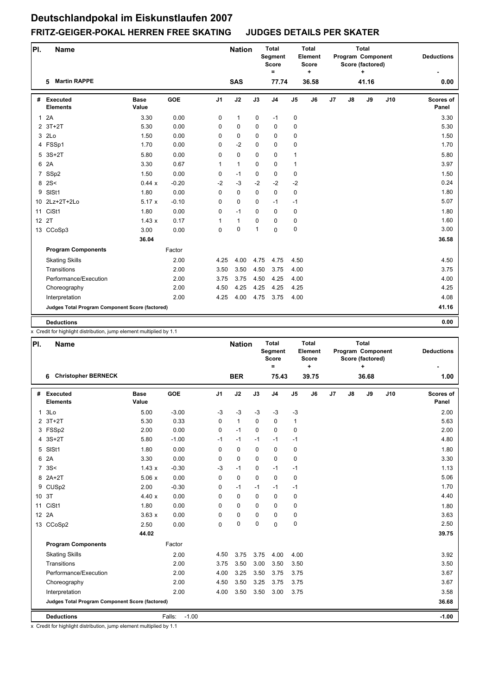| PI.            | <b>Name</b>                                     |                      |            |                | <b>Nation</b> |              | <b>Total</b><br>Segment<br><b>Score</b><br>$\equiv$ |                | <b>Total</b><br>Element<br><b>Score</b><br>÷ |    |               | <b>Total</b><br>Program Component<br>Score (factored)<br>÷ |     | <b>Deductions</b>         |
|----------------|-------------------------------------------------|----------------------|------------|----------------|---------------|--------------|-----------------------------------------------------|----------------|----------------------------------------------|----|---------------|------------------------------------------------------------|-----|---------------------------|
|                | <b>Martin RAPPE</b><br>5                        |                      |            |                | <b>SAS</b>    |              | 77.74                                               |                | 36.58                                        |    |               | 41.16                                                      |     | 0.00                      |
| #              | Executed<br><b>Elements</b>                     | <b>Base</b><br>Value | <b>GOE</b> | J <sub>1</sub> | J2            | J3           | J <sub>4</sub>                                      | J <sub>5</sub> | J6                                           | J7 | $\mathsf{J}8$ | J9                                                         | J10 | <b>Scores of</b><br>Panel |
| $\mathbf{1}$   | 2A                                              | 3.30                 | 0.00       | 0              | $\mathbf{1}$  | 0            | $-1$                                                | 0              |                                              |    |               |                                                            |     | 3.30                      |
|                | $2$ 3T+2T                                       | 5.30                 | 0.00       | 0              | 0             | $\Omega$     | $\mathbf 0$                                         | 0              |                                              |    |               |                                                            |     | 5.30                      |
|                | 3 2Lo                                           | 1.50                 | 0.00       | $\Omega$       | $\mathbf 0$   | $\Omega$     | $\mathbf 0$                                         | $\pmb{0}$      |                                              |    |               |                                                            |     | 1.50                      |
|                | 4 FSSp1                                         | 1.70                 | 0.00       | $\Omega$       | $-2$          | $\Omega$     | $\mathbf 0$                                         | $\mathbf 0$    |                                              |    |               |                                                            |     | 1.70                      |
| 5              | $3S+2T$                                         | 5.80                 | 0.00       | 0              | $\pmb{0}$     | $\mathbf 0$  | 0                                                   | 1              |                                              |    |               |                                                            |     | 5.80                      |
|                | 6 2A                                            | 3.30                 | 0.67       | $\mathbf{1}$   | $\mathbf{1}$  | $\mathbf 0$  | $\mathbf 0$                                         | $\mathbf{1}$   |                                              |    |               |                                                            |     | 3.97                      |
| $\overline{7}$ | SSp2                                            | 1.50                 | 0.00       | $\mathbf 0$    | $-1$          | 0            | 0                                                   | 0              |                                              |    |               |                                                            |     | 1.50                      |
|                | 8 2 S <                                         | 0.44x                | $-0.20$    | $-2$           | $-3$          | $-2$         | $-2$                                                | $-2$           |                                              |    |               |                                                            |     | 0.24                      |
| 9              | SISt1                                           | 1.80                 | 0.00       | 0              | $\mathbf 0$   | $\mathbf 0$  | 0                                                   | $\pmb{0}$      |                                              |    |               |                                                            |     | 1.80                      |
|                | 10 2Lz+2T+2Lo                                   | 5.17x                | $-0.10$    | 0              | 0             | $\Omega$     | $-1$                                                | $-1$           |                                              |    |               |                                                            |     | 5.07                      |
|                | 11 CiSt1                                        | 1.80                 | 0.00       | $\Omega$       | $-1$          | $\Omega$     | $\mathbf 0$                                         | $\mathbf 0$    |                                              |    |               |                                                            |     | 1.80                      |
| 12 2T          |                                                 | 1.43x                | 0.17       | 1              | $\mathbf{1}$  | $\Omega$     | $\mathbf 0$                                         | 0              |                                              |    |               |                                                            |     | 1.60                      |
|                | 13 CCoSp3                                       | 3.00                 | 0.00       | $\mathbf 0$    | $\mathbf 0$   | $\mathbf{1}$ | $\mathbf 0$                                         | $\pmb{0}$      |                                              |    |               |                                                            |     | 3.00                      |
|                |                                                 | 36.04                |            |                |               |              |                                                     |                |                                              |    |               |                                                            |     | 36.58                     |
|                | <b>Program Components</b>                       |                      | Factor     |                |               |              |                                                     |                |                                              |    |               |                                                            |     |                           |
|                | <b>Skating Skills</b>                           |                      | 2.00       | 4.25           | 4.00          | 4.75         | 4.75                                                | 4.50           |                                              |    |               |                                                            |     | 4.50                      |
|                | Transitions                                     |                      | 2.00       | 3.50           | 3.50          | 4.50         | 3.75                                                | 4.00           |                                              |    |               |                                                            |     | 3.75                      |
|                | Performance/Execution                           |                      | 2.00       | 3.75           | 3.75          | 4.50         | 4.25                                                | 4.00           |                                              |    |               |                                                            |     | 4.00                      |
|                | Choreography                                    |                      | 2.00       | 4.50           | 4.25          | 4.25         | 4.25                                                | 4.25           |                                              |    |               |                                                            |     | 4.25                      |
|                | Interpretation                                  |                      | 2.00       | 4.25           | 4.00          | 4.75         | 3.75                                                | 4.00           |                                              |    |               |                                                            |     | 4.08                      |
|                | Judges Total Program Component Score (factored) |                      |            |                |               |              |                                                     |                |                                              |    |               |                                                            |     | 41.16                     |
|                | <b>Deductions</b>                               |                      |            |                |               |              |                                                     |                |                                              |    |               |                                                            |     | 0.00                      |

x Credit for highlight distribution, jump element multiplied by 1.1

| PI.          | Name                                            |                      |                   |                | <b>Nation</b> |             | <b>Total</b><br><b>Segment</b><br><b>Score</b><br>$=$ |                | <b>Total</b><br>Element<br><b>Score</b><br>$\ddot{}$ |    |               | <b>Total</b><br>Program Component<br>Score (factored)<br>+ |     | <b>Deductions</b>         |
|--------------|-------------------------------------------------|----------------------|-------------------|----------------|---------------|-------------|-------------------------------------------------------|----------------|------------------------------------------------------|----|---------------|------------------------------------------------------------|-----|---------------------------|
|              | <b>Christopher BERNECK</b><br>6                 |                      |                   |                | <b>BER</b>    |             | 75.43                                                 |                | 39.75                                                |    |               | 36.68                                                      |     | 1.00                      |
| #            | <b>Executed</b><br><b>Elements</b>              | <b>Base</b><br>Value | <b>GOE</b>        | J <sub>1</sub> | J2            | J3          | J <sub>4</sub>                                        | J <sub>5</sub> | J6                                                   | J7 | $\mathsf{J}8$ | J9                                                         | J10 | <b>Scores of</b><br>Panel |
| $\mathbf{1}$ | 3Lo                                             | 5.00                 | $-3.00$           | $-3$           | $-3$          | $-3$        | $-3$                                                  | $-3$           |                                                      |    |               |                                                            |     | 2.00                      |
|              | 2 3T+2T                                         | 5.30                 | 0.33              | 0              | $\mathbf{1}$  | $\Omega$    | $\mathbf 0$                                           | $\mathbf{1}$   |                                                      |    |               |                                                            |     | 5.63                      |
|              | 3 FSSp2                                         | 2.00                 | 0.00              | 0              | $-1$          | $\Omega$    | $\mathbf 0$                                           | 0              |                                                      |    |               |                                                            |     | 2.00                      |
|              | 4 3S+2T                                         | 5.80                 | $-1.00$           | $-1$           | $-1$          | $-1$        | $-1$                                                  | $-1$           |                                                      |    |               |                                                            |     | 4.80                      |
| 5            | SISt1                                           | 1.80                 | 0.00              | 0              | $\mathbf 0$   | $\mathbf 0$ | 0                                                     | 0              |                                                      |    |               |                                                            |     | 1.80                      |
|              | 6 2A                                            | 3.30                 | 0.00              | 0              | $\mathbf 0$   | $\mathbf 0$ | 0                                                     | $\mathbf 0$    |                                                      |    |               |                                                            |     | 3.30                      |
|              | 7.3S<                                           | 1.43x                | $-0.30$           | $-3$           | $-1$          | $\mathbf 0$ | $-1$                                                  | $-1$           |                                                      |    |               |                                                            |     | 1.13                      |
|              | 8 2A+2T                                         | 5.06x                | 0.00              | 0              | $\mathbf 0$   | $\Omega$    | $\mathbf 0$                                           | $\pmb{0}$      |                                                      |    |               |                                                            |     | 5.06                      |
|              | 9 CUSp2                                         | 2.00                 | $-0.30$           | 0              | $-1$          | $-1$        | $-1$                                                  | $-1$           |                                                      |    |               |                                                            |     | 1.70                      |
|              | 10 3T                                           | 4.40x                | 0.00              | 0              | $\mathbf 0$   | $\Omega$    | $\mathbf 0$                                           | 0              |                                                      |    |               |                                                            |     | 4.40                      |
|              | 11 CiSt1                                        | 1.80                 | 0.00              | $\Omega$       | $\mathbf 0$   | $\Omega$    | $\Omega$                                              | 0              |                                                      |    |               |                                                            |     | 1.80                      |
|              | 12 2A                                           | 3.63x                | 0.00              | 0              | $\mathbf 0$   | 0           | $\mathbf 0$                                           | 0              |                                                      |    |               |                                                            |     | 3.63                      |
|              | 13 CCoSp2                                       | 2.50                 | 0.00              | 0              | $\pmb{0}$     | 0           | $\Omega$                                              | $\pmb{0}$      |                                                      |    |               |                                                            |     | 2.50                      |
|              |                                                 | 44.02                |                   |                |               |             |                                                       |                |                                                      |    |               |                                                            |     | 39.75                     |
|              | <b>Program Components</b>                       |                      | Factor            |                |               |             |                                                       |                |                                                      |    |               |                                                            |     |                           |
|              | <b>Skating Skills</b>                           |                      | 2.00              | 4.50           | 3.75          | 3.75        | 4.00                                                  | 4.00           |                                                      |    |               |                                                            |     | 3.92                      |
|              | Transitions                                     |                      | 2.00              | 3.75           | 3.50          | 3.00        | 3.50                                                  | 3.50           |                                                      |    |               |                                                            |     | 3.50                      |
|              | Performance/Execution                           |                      | 2.00              | 4.00           | 3.25          | 3.50        | 3.75                                                  | 3.75           |                                                      |    |               |                                                            |     | 3.67                      |
|              | Choreography                                    |                      | 2.00              | 4.50           | 3.50          | 3.25        | 3.75                                                  | 3.75           |                                                      |    |               |                                                            |     | 3.67                      |
|              | Interpretation                                  |                      | 2.00              | 4.00           | 3.50          | 3.50        | 3.00                                                  | 3.75           |                                                      |    |               |                                                            |     | 3.58                      |
|              | Judges Total Program Component Score (factored) |                      |                   |                |               |             |                                                       |                |                                                      |    |               |                                                            |     | 36.68                     |
|              | <b>Deductions</b>                               |                      | $-1.00$<br>Falls: |                |               |             |                                                       |                |                                                      |    |               |                                                            |     | $-1.00$                   |

x Credit for highlight distribution, jump element multiplied by 1.1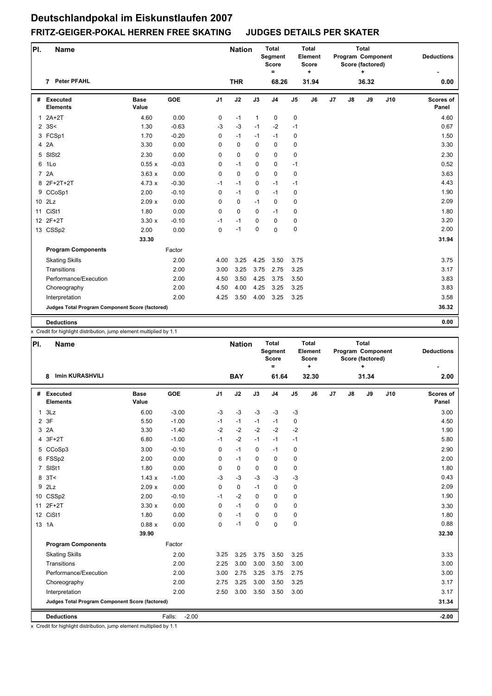| PI.            | <b>Name</b>                                     |                      |            |                | <b>Nation</b> |              | <b>Total</b><br>Segment<br><b>Score</b><br>= |                | <b>Total</b><br>Element<br><b>Score</b><br>٠ |    |               | <b>Total</b><br>Program Component<br>Score (factored)<br>۰. |     | <b>Deductions</b>  |
|----------------|-------------------------------------------------|----------------------|------------|----------------|---------------|--------------|----------------------------------------------|----------------|----------------------------------------------|----|---------------|-------------------------------------------------------------|-----|--------------------|
|                | <b>Peter PFAHL</b><br>7                         |                      |            |                | <b>THR</b>    |              | 68.26                                        |                | 31.94                                        |    |               | 36.32                                                       |     | 0.00               |
| #              | Executed<br><b>Elements</b>                     | <b>Base</b><br>Value | <b>GOE</b> | J <sub>1</sub> | J2            | J3           | J <sub>4</sub>                               | J <sub>5</sub> | J6                                           | J7 | $\mathsf{J}8$ | J9                                                          | J10 | Scores of<br>Panel |
| $\mathbf{1}$   | $2A+2T$                                         | 4.60                 | 0.00       | 0              | $-1$          | $\mathbf{1}$ | 0                                            | 0              |                                              |    |               |                                                             |     | 4.60               |
|                | $2 \, 3S <$                                     | 1.30                 | $-0.63$    | $-3$           | $-3$          | $-1$         | $-2$                                         | $-1$           |                                              |    |               |                                                             |     | 0.67               |
|                | 3 FCSp1                                         | 1.70                 | $-0.20$    | 0              | $-1$          | $-1$         | $-1$                                         | 0              |                                              |    |               |                                                             |     | 1.50               |
|                | 4 2A                                            | 3.30                 | 0.00       | 0              | $\mathbf 0$   | $\Omega$     | $\mathbf 0$                                  | 0              |                                              |    |               |                                                             |     | 3.30               |
| 5              | SIS <sub>t2</sub>                               | 2.30                 | 0.00       | 0              | $\mathbf 0$   | $\mathbf 0$  | $\mathbf 0$                                  | 0              |                                              |    |               |                                                             |     | 2.30               |
| 6              | 1Lo                                             | 0.55x                | $-0.03$    | 0              | $-1$          | $\Omega$     | $\mathbf 0$                                  | $-1$           |                                              |    |               |                                                             |     | 0.52               |
| $\overline{7}$ | 2A                                              | 3.63x                | 0.00       | $\mathbf 0$    | $\mathbf 0$   | $\mathbf 0$  | $\mathbf 0$                                  | $\mathbf 0$    |                                              |    |               |                                                             |     | 3.63               |
|                | 8 2F+2T+2T                                      | 4.73x                | $-0.30$    | $-1$           | $-1$          | $\Omega$     | $-1$                                         | $-1$           |                                              |    |               |                                                             |     | 4.43               |
| 9              | CCoSp1                                          | 2.00                 | $-0.10$    | $\mathbf 0$    | $-1$          | $\mathbf 0$  | $-1$                                         | 0              |                                              |    |               |                                                             |     | 1.90               |
|                | 10 2Lz                                          | 2.09x                | 0.00       | 0              | $\mathbf 0$   | $-1$         | $\mathbf 0$                                  | 0              |                                              |    |               |                                                             |     | 2.09               |
| 11             | CiSt1                                           | 1.80                 | 0.00       | $\Omega$       | $\Omega$      | $\Omega$     | $-1$                                         | 0              |                                              |    |               |                                                             |     | 1.80               |
|                | 12 2F+2T                                        | 3.30x                | $-0.10$    | $-1$           | $-1$          | 0            | $\mathbf 0$                                  | 0              |                                              |    |               |                                                             |     | 3.20               |
|                | 13 CSSp2                                        | 2.00                 | 0.00       | 0              | $-1$          | $\mathbf 0$  | $\mathbf 0$                                  | 0              |                                              |    |               |                                                             |     | 2.00               |
|                |                                                 | 33.30                |            |                |               |              |                                              |                |                                              |    |               |                                                             |     | 31.94              |
|                | <b>Program Components</b>                       |                      | Factor     |                |               |              |                                              |                |                                              |    |               |                                                             |     |                    |
|                | <b>Skating Skills</b>                           |                      | 2.00       | 4.00           | 3.25          | 4.25         | 3.50                                         | 3.75           |                                              |    |               |                                                             |     | 3.75               |
|                | Transitions                                     |                      | 2.00       | 3.00           | 3.25          | 3.75         | 2.75                                         | 3.25           |                                              |    |               |                                                             |     | 3.17               |
|                | Performance/Execution                           |                      | 2.00       | 4.50           | 3.50          | 4.25         | 3.75                                         | 3.50           |                                              |    |               |                                                             |     | 3.83               |
|                | Choreography                                    |                      | 2.00       | 4.50           | 4.00          | 4.25         | 3.25                                         | 3.25           |                                              |    |               |                                                             |     | 3.83               |
|                | Interpretation                                  |                      | 2.00       | 4.25           | 3.50          | 4.00         | 3.25                                         | 3.25           |                                              |    |               |                                                             |     | 3.58               |
|                | Judges Total Program Component Score (factored) |                      |            |                |               |              |                                              |                |                                              |    |               |                                                             |     | 36.32              |
|                | <b>Deductions</b>                               |                      |            |                |               |              |                                              |                |                                              |    |               |                                                             |     | 0.00               |

x Credit for highlight distribution, jump element multiplied by 1.1

| PI.            | <b>Name</b>                                     |                      |                   |                | <b>Nation</b> |             | <b>Total</b><br>Segment<br><b>Score</b><br>$=$ |                | <b>Total</b><br>Element<br>Score<br>٠ |    |               | <b>Total</b><br>Program Component<br>Score (factored)<br>٠ |     | <b>Deductions</b>         |
|----------------|-------------------------------------------------|----------------------|-------------------|----------------|---------------|-------------|------------------------------------------------|----------------|---------------------------------------|----|---------------|------------------------------------------------------------|-----|---------------------------|
|                | <b>Imin KURASHVILI</b><br>8                     |                      |                   |                | <b>BAY</b>    |             | 61.64                                          |                | 32.30                                 |    |               | 31.34                                                      |     | 2.00                      |
| #              | <b>Executed</b><br><b>Elements</b>              | <b>Base</b><br>Value | <b>GOE</b>        | J <sub>1</sub> | J2            | J3          | J <sub>4</sub>                                 | J <sub>5</sub> | J6                                    | J7 | $\mathsf{J}8$ | J9                                                         | J10 | <b>Scores of</b><br>Panel |
| $\mathbf{1}$   | 3Lz                                             | 6.00                 | $-3.00$           | $-3$           | $-3$          | $-3$        | $-3$                                           | $-3$           |                                       |    |               |                                                            |     | 3.00                      |
| $\overline{2}$ | 3F                                              | 5.50                 | $-1.00$           | $-1$           | $-1$          | $-1$        | $-1$                                           | 0              |                                       |    |               |                                                            |     | 4.50                      |
| 3              | 2A                                              | 3.30                 | $-1.40$           | $-2$           | $-2$          | $-2$        | $-2$                                           | $-2$           |                                       |    |               |                                                            |     | 1.90                      |
| 4              | $3F+2T$                                         | 6.80                 | $-1.00$           | $-1$           | $-2$          | $-1$        | $-1$                                           | $-1$           |                                       |    |               |                                                            |     | 5.80                      |
|                | 5 CCoSp3                                        | 3.00                 | $-0.10$           | 0              | $-1$          | $\mathbf 0$ | $-1$                                           | 0              |                                       |    |               |                                                            |     | 2.90                      |
|                | 6 FSSp2                                         | 2.00                 | 0.00              | 0              | $-1$          | $\mathbf 0$ | $\mathbf 0$                                    | 0              |                                       |    |               |                                                            |     | 2.00                      |
| $\overline{7}$ | SISt1                                           | 1.80                 | 0.00              | 0              | 0             | $\mathbf 0$ | $\mathbf 0$                                    | $\pmb{0}$      |                                       |    |               |                                                            |     | 1.80                      |
|                | 8 <sup>3</sup>                                  | 1.43x                | $-1.00$           | $-3$           | $-3$          | $-3$        | $-3$                                           | $-3$           |                                       |    |               |                                                            |     | 0.43                      |
| 9              | 2Lz                                             | 2.09x                | 0.00              | $\mathbf 0$    | $\mathbf 0$   | $-1$        | 0                                              | $\pmb{0}$      |                                       |    |               |                                                            |     | 2.09                      |
|                | 10 CSSp2                                        | 2.00                 | $-0.10$           | $-1$           | $-2$          | $\mathbf 0$ | $\mathbf 0$                                    | 0              |                                       |    |               |                                                            |     | 1.90                      |
| 11             | $2F+2T$                                         | 3.30x                | 0.00              | $\mathbf 0$    | $-1$          | $\Omega$    | $\mathbf 0$                                    | 0              |                                       |    |               |                                                            |     | 3.30                      |
|                | 12 CiSt1                                        | 1.80                 | 0.00              | 0              | $-1$          | $\mathbf 0$ | $\mathbf 0$                                    | 0              |                                       |    |               |                                                            |     | 1.80                      |
|                | 13 1A                                           | 0.88x                | 0.00              | 0              | $-1$          | $\mathbf 0$ | $\mathbf 0$                                    | $\pmb{0}$      |                                       |    |               |                                                            |     | 0.88                      |
|                |                                                 | 39.90                |                   |                |               |             |                                                |                |                                       |    |               |                                                            |     | 32.30                     |
|                | <b>Program Components</b>                       |                      | Factor            |                |               |             |                                                |                |                                       |    |               |                                                            |     |                           |
|                | <b>Skating Skills</b>                           |                      | 2.00              | 3.25           | 3.25          | 3.75        | 3.50                                           | 3.25           |                                       |    |               |                                                            |     | 3.33                      |
|                | Transitions                                     |                      | 2.00              | 2.25           | 3.00          | 3.00        | 3.50                                           | 3.00           |                                       |    |               |                                                            |     | 3.00                      |
|                | Performance/Execution                           |                      | 2.00              | 3.00           | 2.75          | 3.25        | 3.75                                           | 2.75           |                                       |    |               |                                                            |     | 3.00                      |
|                | Choreography                                    |                      | 2.00              | 2.75           | 3.25          | 3.00        | 3.50                                           | 3.25           |                                       |    |               |                                                            |     | 3.17                      |
|                | Interpretation                                  |                      | 2.00              | 2.50           | 3.00          | 3.50        | 3.50                                           | 3.00           |                                       |    |               |                                                            |     | 3.17                      |
|                | Judges Total Program Component Score (factored) |                      |                   |                |               |             |                                                |                |                                       |    |               |                                                            |     | 31.34                     |
|                | <b>Deductions</b>                               |                      | Falls:<br>$-2.00$ |                |               |             |                                                |                |                                       |    |               |                                                            |     | $-2.00$                   |

x Credit for highlight distribution, jump element multiplied by 1.1